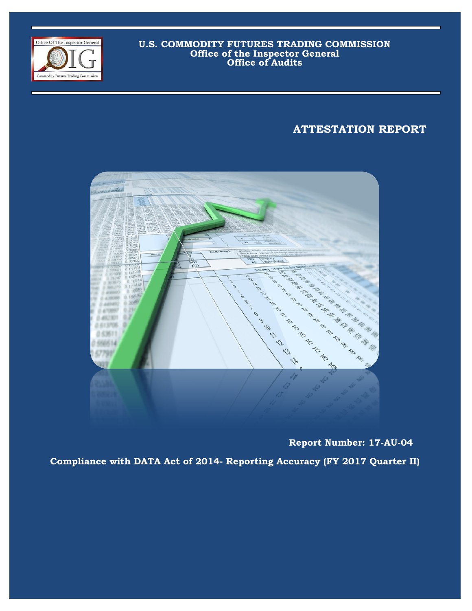

#### **U.S. COMMODITY FUTURES TRADING COMMISSION Office of the Inspector General Office of Audits**

# **ATTESTATION REPORT**



**Report Number: 17-AU-04**

**Compliance with DATA Act of 2014- Reporting Accuracy (FY 2017 Quarter II)**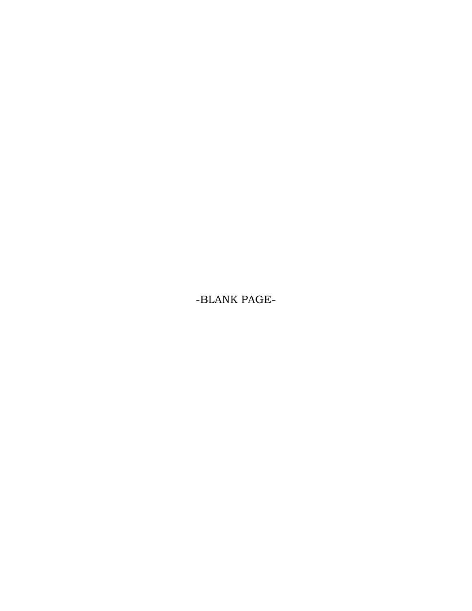-BLANK PAGE-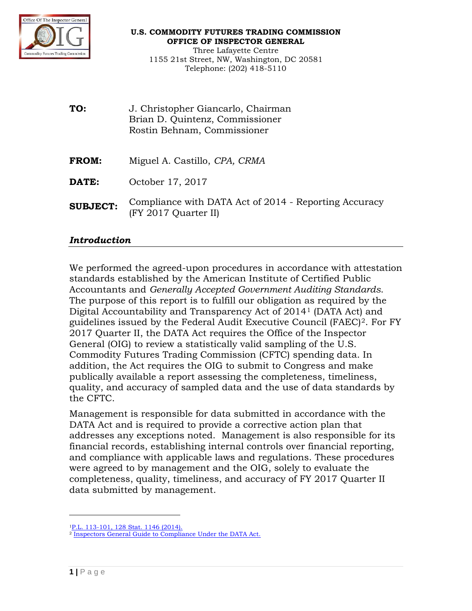

| TO:             | J. Christopher Giancarlo, Chairman<br>Brian D. Quintenz, Commissioner<br>Rostin Behnam, Commissioner |
|-----------------|------------------------------------------------------------------------------------------------------|
| <b>FROM:</b>    | Miguel A. Castillo, CPA, CRMA                                                                        |
| DATE:           | October 17, 2017                                                                                     |
| <b>SUBJECT:</b> | Compliance with DATA Act of 2014 - Reporting Accuracy<br>(FY 2017 Quarter II)                        |

# *Introduction*

We performed the agreed-upon procedures in accordance with attestation standards established by the American Institute of Certified Public Accountants and *Generally Accepted Government Auditing Standards*. The purpose of this report is to fulfill our obligation as required by the Digital Accountability and Transparency Act of 2014[1](#page-2-0) (DATA Act) and guidelines issued by the Federal Audit Executive Council (FAEC)[2](#page-2-1). For FY 2017 Quarter II, the DATA Act requires the Office of the Inspector General (OIG) to review a statistically valid sampling of the U.S. Commodity Futures Trading Commission (CFTC) spending data. In addition, the Act requires the OIG to submit to Congress and make publically available a report assessing the completeness, timeliness, quality, and accuracy of sampled data and the use of data standards by the CFTC.

Management is responsible for data submitted in accordance with the DATA Act and is required to provide a corrective action plan that addresses any exceptions noted. Management is also responsible for its financial records, establishing internal controls over financial reporting, and compliance with applicable laws and regulations. These procedures were agreed to by management and the OIG, solely to evaluate the completeness, quality, timeliness, and accuracy of FY 2017 Quarter II data submitted by management.

-

<span id="page-2-0"></span><sup>&</sup>lt;sup>1</sup>P.L. 113-101, 128 Stat. 1146 (2014).

<span id="page-2-1"></span><sup>&</sup>lt;sup>2</sup> [Inspectors General Guide to Compliance Under the DATA Act](https://www.treasury.gov/about/organizational-structure/ig/Audit%20Reports%20and%20Testimonies/OIG-CA-17-012.pdf).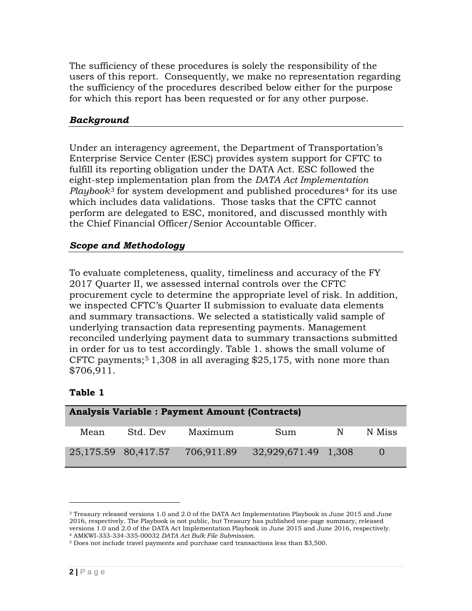The sufficiency of these procedures is solely the responsibility of the users of this report. Consequently, we make no representation regarding the sufficiency of the procedures described below either for the purpose for which this report has been requested or for any other purpose.

### *Background*

Under an interagency agreement, the Department of Transportation's Enterprise Service Center (ESC) provides system support for CFTC to fulfill its reporting obligation under the DATA Act. ESC followed the eight-step implementation plan from the *DATA Act Implementation Playbook<sup>[3](#page-3-0)</sup>* for system development and published procedures<sup>4</sup> for its use which includes data validations. Those tasks that the CFTC cannot perform are delegated to ESC, monitored, and discussed monthly with the Chief Financial Officer/Senior Accountable Officer.

# *Scope and Methodology*

To evaluate completeness, quality, timeliness and accuracy of the FY 2017 Quarter II, we assessed internal controls over the CFTC procurement cycle to determine the appropriate level of risk. In addition, we inspected CFTC's Quarter II submission to evaluate data elements and summary transactions. We selected a statistically valid sample of underlying transaction data representing payments. Management reconciled underlying payment data to summary transactions submitted in order for us to test accordingly. Table 1. shows the small volume of CFTC payments;<sup>[5](#page-3-2)</sup> 1,308 in all averaging \$25,175, with none more than \$706,911.

### **Table 1**

| <b>Analysis Variable : Payment Amount (Contracts)</b> |          |         |                                                    |   |        |  |
|-------------------------------------------------------|----------|---------|----------------------------------------------------|---|--------|--|
| Mean                                                  | Std. Dev | Maximum | Sum                                                | N | N Miss |  |
|                                                       |          |         | 25,175.59 80,417.57 706,911.89 32,929,671.49 1,308 |   | 0      |  |

j

<span id="page-3-0"></span><sup>3</sup> Treasury released versions 1.0 and 2.0 of the DATA Act Implementation Playbook in June 2015 and June 2016, respectively. The Playbook is not public, but Treasury has published one-page summary, released versions 1.0 and 2.0 of the DATA Act Implementation Playbook in June 2015 and June 2016, respectively. <sup>4</sup> AMKWI-333-334-335-00032 *DATA Act Bulk File Submission.*

<span id="page-3-2"></span><span id="page-3-1"></span><sup>5</sup> Does not include travel payments and purchase card transactions less than \$3,500.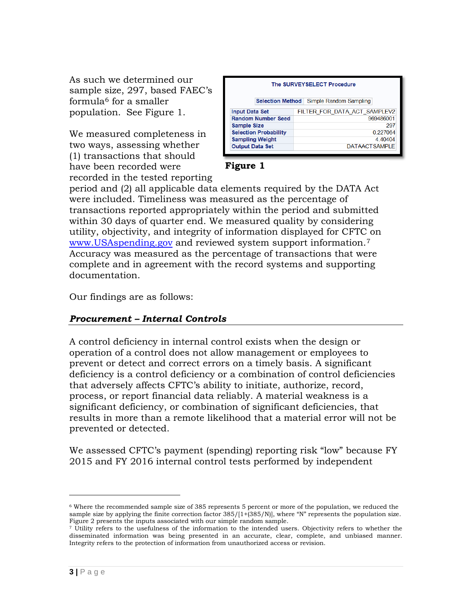As such we determined our sample size, 297, based FAEC's formula $6$  for a smaller population. See Figure 1.

We measured completeness in two ways, assessing whether (1) transactions that should have been recorded were recorded in the tested reporting

| The SURVEYSELECT Procedure   |                              |  |  |  |
|------------------------------|------------------------------|--|--|--|
| <b>Selection Method</b>      | Simple Random Sampling       |  |  |  |
| <b>Input Data Set</b>        | FILTER FOR DATA ACT SAMPLEV2 |  |  |  |
| <b>Random Number Seed</b>    | 969486001                    |  |  |  |
| <b>Sample Size</b>           | 297                          |  |  |  |
| <b>Selection Probability</b> | 0 227064                     |  |  |  |
| <b>Sampling Weight</b>       | 4.40404                      |  |  |  |
| <b>Output Data Set</b>       | <b>DATAACTSAMPLE</b>         |  |  |  |
|                              |                              |  |  |  |

# **Figure 1**

period and (2) all applicable data elements required by the DATA Act were included. Timeliness was measured as the percentage of transactions reported appropriately within the period and submitted within 30 days of quarter end. We measured quality by considering utility, objectivity, and integrity of information displayed for CFTC on [www.USAspending.gov](https://www.usaspending.gov/Pages/Default.aspx) and reviewed system support information.[7](#page-4-1) Accuracy was measured as the percentage of transactions that were complete and in agreement with the record systems and supporting documentation.

Our findings are as follows:

# *Procurement – Internal Controls*

A control deficiency in internal control exists when the design or operation of a control does not allow management or employees to prevent or detect and correct errors on a timely basis. A significant deficiency is a control deficiency or a combination of control deficiencies that adversely affects CFTC's ability to initiate, authorize, record, process, or report financial data reliably. A material weakness is a significant deficiency, or combination of significant deficiencies, that results in more than a remote likelihood that a material error will not be prevented or detected.

We assessed CFTC's payment (spending) reporting risk "low" because FY 2015 and FY 2016 internal control tests performed by independent

j

<span id="page-4-0"></span><sup>6</sup> Where the recommended sample size of 385 represents 5 percent or more of the population, we reduced the sample size by applying the finite correction factor  $385/11+(385/N)$ , where "N" represents the population size. Figure 2 presents the inputs associated with our simple random sample.

<span id="page-4-1"></span><sup>7</sup> Utility refers to the usefulness of the information to the intended users. Objectivity refers to whether the disseminated information was being presented in an accurate, clear, complete, and unbiased manner. Integrity refers to the protection of information from unauthorized access or revision.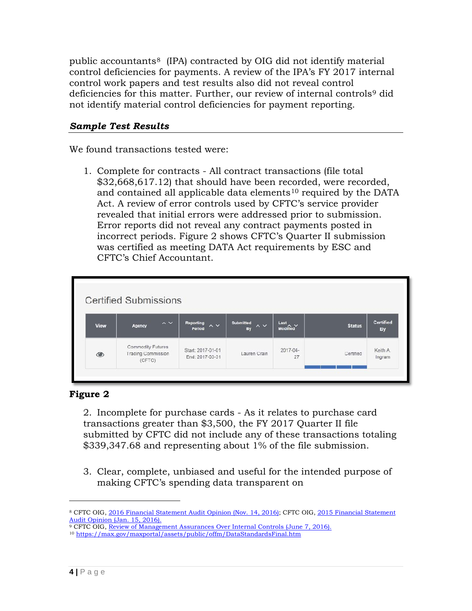public accountants[8](#page-5-0) (IPA) contracted by OIG did not identify material control deficiencies for payments. A review of the IPA's FY 2017 internal control work papers and test results also did not reveal control deficiencies for this matter. Further, our review of internal controls<sup>[9](#page-5-1)</sup> did not identify material control deficiencies for payment reporting.

# *Sample Test Results*

We found transactions tested were:

1. Complete for contracts - All contract transactions (file total \$32,668,617.12) that should have been recorded, were recorded, and contained all applicable data elements<sup>10</sup> required by the DATA Act. A review of error controls used by CFTC's service provider revealed that initial errors were addressed prior to submission. Error reports did not reveal any contract payments posted in incorrect periods. Figure 2 shows CFTC's Quarter II submission was certified as meeting DATA Act requirements by ESC and CFTC's Chief Accountant.



### **Figure 2**

2. Incomplete for purchase cards - As it relates to purchase card transactions greater than \$3,500, the FY 2017 Quarter II file submitted by CFTC did not include any of these transactions totaling \$339,347.68 and representing about 1% of the file submission.

3. Clear, complete, unbiased and useful for the intended purpose of making CFTC's spending data transparent on

-

<span id="page-5-0"></span><sup>8</sup> CFTC OIG, [2016 Financial Statement Audit Opinion](http://www.cftc.gov/About/OfficeoftheInspectorGeneral/ssLINK/2016finstatementaudit) (Nov. 14, 2016); CFTC OIG, [2015 Financial Statement](http://www.cftc.gov/About/OfficeoftheInspectorGeneral/ssLINK/2015finstatementaudit)  [Audit Opinion](http://www.cftc.gov/About/OfficeoftheInspectorGeneral/ssLINK/2015finstatementaudit) (Jan. 15, 2016).

<span id="page-5-2"></span><span id="page-5-1"></span><sup>&</sup>lt;sup>9</sup> CFTC OIG, <u>Review of Management Assurances Over Internal Controls (June 7, 2016).</u> <sup>10</sup> <https://max.gov/maxportal/assets/public/offm/DataStandardsFinal.htm>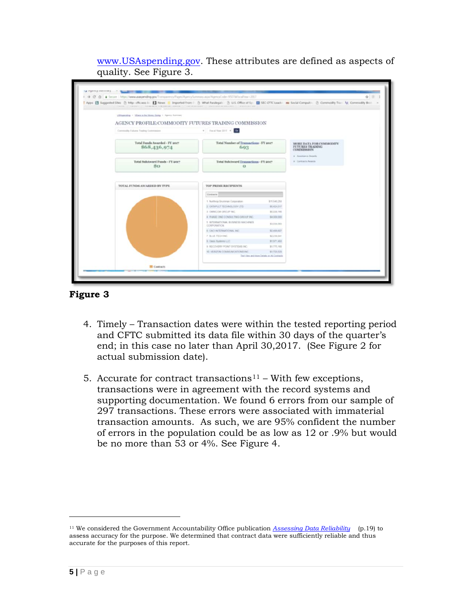[www.USAspending.gov.](https://www.usaspending.gov/Pages/Default.aspx) These attributes are defined as aspects of quality. See Figure 3.



**Figure 3** 

- 4. Timely Transaction dates were within the tested reporting period and CFTC submitted its data file within 30 days of the quarter's end; in this case no later than April 30,2017. (See Figure 2 for actual submission date).
- 5. Accurate for contract transactions<sup>[11](#page-6-0)</sup> With few exceptions, transactions were in agreement with the record systems and supporting documentation. We found 6 errors from our sample of 297 transactions. These errors were associated with immaterial transaction amounts. As such, we are 95% confident the number of errors in the population could be as low as 12 or .9% but would be no more than 53 or 4%. See Figure 4.

j

<span id="page-6-0"></span><sup>11</sup> We considered the Government Accountability Office publication *[Assessing Data Reliability](http://www.gao.gov/assets/80/77213.pdf)* (p.19) to assess accuracy for the purpose. We determined that contract data were sufficiently reliable and thus accurate for the purposes of this report.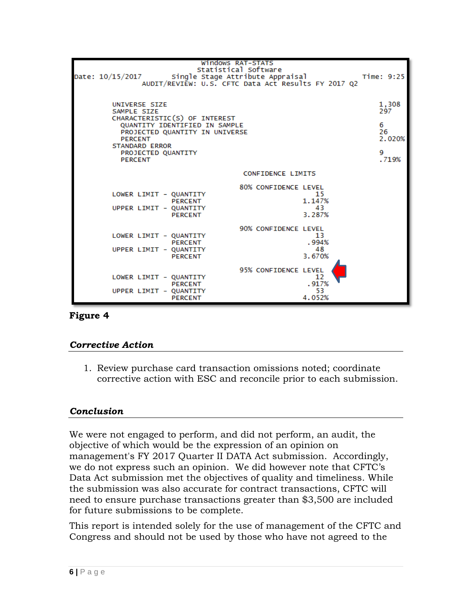

### **Figure 4**

### *Corrective Action*

1. Review purchase card transaction omissions noted; coordinate corrective action with ESC and reconcile prior to each submission.

### *Conclusion*

We were not engaged to perform, and did not perform, an audit, the objective of which would be the expression of an opinion on management's FY 2017 Quarter II DATA Act submission. Accordingly, we do not express such an opinion. We did however note that CFTC's Data Act submission met the objectives of quality and timeliness. While the submission was also accurate for contract transactions, CFTC will need to ensure purchase transactions greater than \$3,500 are included for future submissions to be complete.

This report is intended solely for the use of management of the CFTC and Congress and should not be used by those who have not agreed to the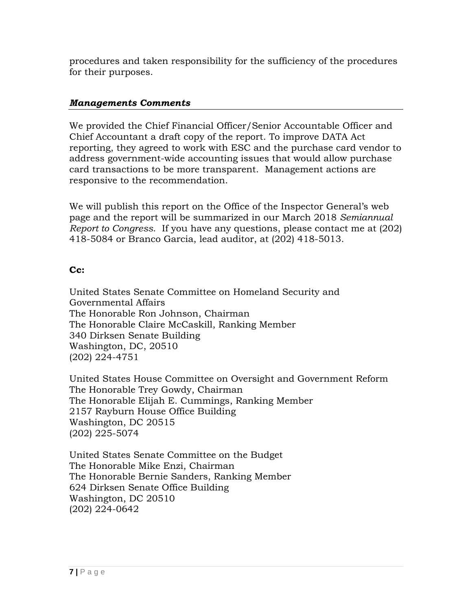procedures and taken responsibility for the sufficiency of the procedures for their purposes.

# *Managements Comments*

We provided the Chief Financial Officer/Senior Accountable Officer and Chief Accountant a draft copy of the report. To improve DATA Act reporting, they agreed to work with ESC and the purchase card vendor to address government-wide accounting issues that would allow purchase card transactions to be more transparent. Management actions are responsive to the recommendation.

We will publish this report on the Office of the Inspector General's web page and the report will be summarized in our March 2018 *Semiannual Report to Congress*. If you have any questions, please contact me at (202) 418-5084 or Branco Garcia, lead auditor, at (202) 418-5013.

# **Cc:**

United States Senate Committee on Homeland Security and Governmental Affairs The Honorable Ron Johnson, Chairman The Honorable Claire McCaskill, Ranking Member 340 Dirksen Senate Building Washington, DC, 20510 (202) 224-4751

United States House Committee on Oversight and Government Reform The Honorable Trey Gowdy, Chairman The Honorable Elijah E. Cummings, Ranking Member 2157 Rayburn House Office Building Washington, DC 20515 (202) 225-5074

United States Senate Committee on the Budget The Honorable Mike Enzi, Chairman The Honorable Bernie Sanders, Ranking Member 624 Dirksen Senate Office Building Washington, DC 20510 (202) 224-0642